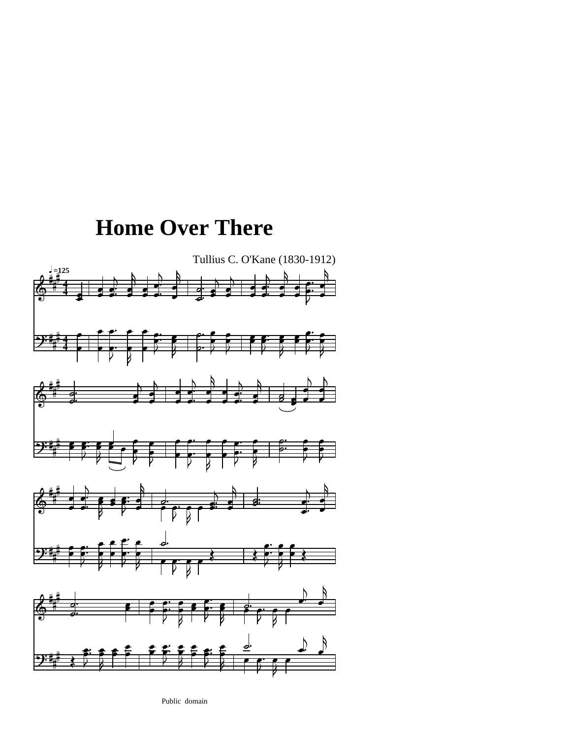



P